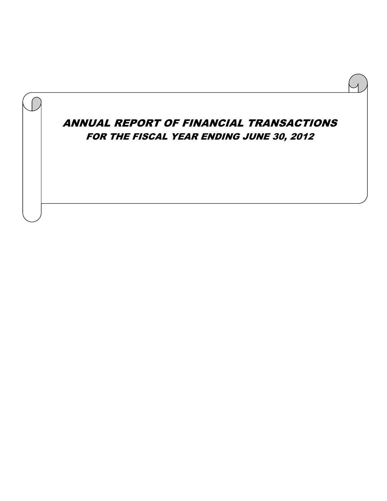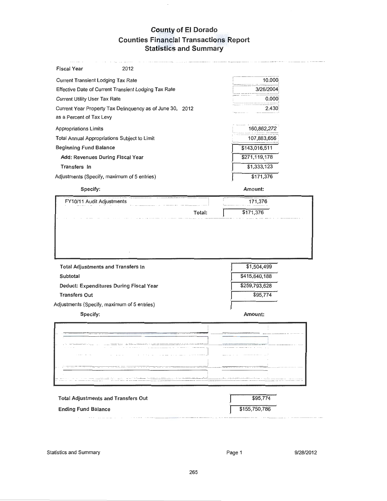# **County of El Dorado Counties Financial Transactions Report Statistics and Summary**

| <b>Fiscal Year</b><br>2012                                                                                                                                                                                                     |               |
|--------------------------------------------------------------------------------------------------------------------------------------------------------------------------------------------------------------------------------|---------------|
| <b>Current Transient Lodging Tax Rate</b>                                                                                                                                                                                      | 10.000        |
| Effective Date of Current Transient Lodging Tax Rate                                                                                                                                                                           | 3/26/2004     |
| <b>Current Utility User Tax Rate</b>                                                                                                                                                                                           | 0.000         |
| Current Year Property Tax Delinquency as of June 30, 2012                                                                                                                                                                      | 2.430         |
| as a Percent of Tax Levy                                                                                                                                                                                                       |               |
| Appropriations Limits                                                                                                                                                                                                          | 160,862,272   |
| Total Annual Appropriations Subject to Limit                                                                                                                                                                                   | 107,883,656   |
| <b>Beginning Fund Balance</b>                                                                                                                                                                                                  | \$143,016,511 |
| Add: Revenues During Fiscal Year                                                                                                                                                                                               | \$271,119,178 |
| Transfers In                                                                                                                                                                                                                   | \$1,333,123   |
| Adjustments (Specify, maximum of 5 entries)                                                                                                                                                                                    | \$171,376     |
| Specify:                                                                                                                                                                                                                       | Amount:       |
| FY10/11 Audit Adjustments                                                                                                                                                                                                      | 171,376       |
|                                                                                                                                                                                                                                |               |
| Total:                                                                                                                                                                                                                         | \$171,376     |
| <b>Total Adjustments and Transfers In</b>                                                                                                                                                                                      | \$1,504,499   |
| <b>Subtotal</b>                                                                                                                                                                                                                | \$415,640,188 |
| Deduct: Expenditures During Fiscal Year                                                                                                                                                                                        | \$259,793,628 |
| <b>Transfers Out</b>                                                                                                                                                                                                           | \$95,774      |
|                                                                                                                                                                                                                                |               |
| Specify:                                                                                                                                                                                                                       | Amount:       |
|                                                                                                                                                                                                                                |               |
| $\sim$ 1000 m and the state of the state of the state of the state of the state of the state of the state of the state of the state of the state of the state of the state of the state of the state of the state of the state |               |
| EP o Transaction of the<br>and a state<br>the contract of the contract and a second contract of                                                                                                                                |               |
| كتفاء وتسميه والمستسلم والتسريح والترابي المراجع والمتحارب المراجي الترابي المتحارب                                                                                                                                            |               |
| Adjustments (Specify, maximum of 5 entries)<br>-----------------                                                                                                                                                               |               |
|                                                                                                                                                                                                                                | .             |

| <b>Total Adjustments and Transfers Out</b> | \$95,774      |
|--------------------------------------------|---------------|
| <b>Ending Fund Balance</b>                 | \$155,750,786 |
|                                            |               |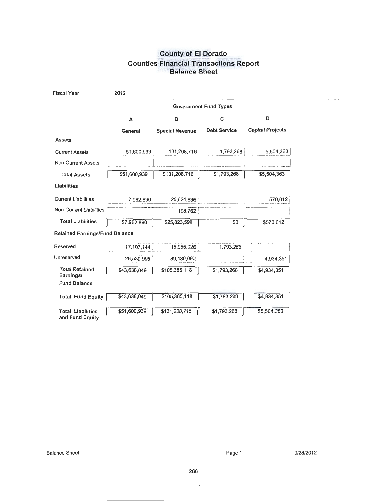# "County of El Dorado **Counties Financial Transactions Report Balance Sheet**

| <b>Fiscal Year</b>                          | 2012         |                        |                              |                         |
|---------------------------------------------|--------------|------------------------|------------------------------|-------------------------|
|                                             |              |                        | <b>Government Fund Types</b> |                         |
|                                             | A            | в                      | C                            | D                       |
|                                             | General      | <b>Special Revenue</b> | <b>Debt Service</b>          | <b>Capital Projects</b> |
| <b>Assets</b>                               |              |                        |                              |                         |
| <b>Current Assets</b>                       | 51,600,939   | 131,208,716            | 1,793,268                    | 5,504,363               |
| <b>Non-Current Assets</b>                   |              |                        |                              |                         |
| <b>Total Assets</b>                         | \$51,600,939 | \$131,208,716          | \$1,793,268                  | \$5,504,363             |
| Liabilities                                 |              |                        |                              |                         |
| <b>Current Liabilities</b>                  | 7.962.890    | 25,624,836             |                              | 570,012                 |
| <b>Non-Current Liabilities</b>              |              | 198,762                |                              |                         |
| <b>Total Liabilities</b>                    | \$7,962,890  | \$25,823,598           | \$0                          | \$570,012               |
| <b>Retained Earnings/Fund Balance</b>       |              |                        |                              |                         |
| Reserved                                    | 17.107.144   | 15,955,026             | 1,793,268                    |                         |
| Unreserved                                  | 26,530,905   | 89,430,092             |                              | 4,934,351               |
| <b>Total Retained</b><br>Earnings/          | \$43,638,049 | \$105,385,118          | \$1,793,268                  | \$4,934,351             |
| <b>Fund Balance</b>                         |              |                        |                              |                         |
| <b>Total Fund Equity</b>                    | \$43,638,049 | \$105,385,118          | \$1,793,268                  | 34,334,351              |
| <b>Total Liabilities</b><br>and Fund Equity | \$51,600,939 | \$131,208,716          | \$1,793,268                  | \$5,501,363             |

 $\bar{\mathbf{v}}$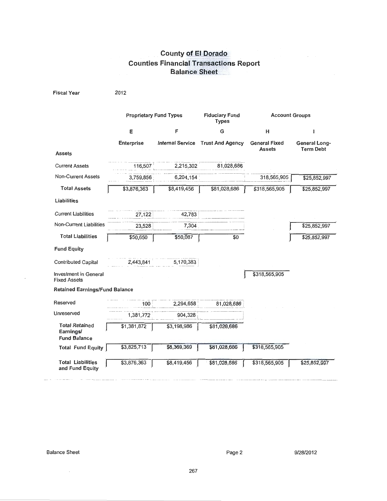# **County of El Dorado Counties Financial Transactions Report Balance Sheet**

| <b>Fiscal Year</b>                                        | 2012                          |                         |                                       |                                       |                                   |
|-----------------------------------------------------------|-------------------------------|-------------------------|---------------------------------------|---------------------------------------|-----------------------------------|
|                                                           | <b>Proprietary Fund Types</b> |                         | <b>Fiduciary Fund</b><br><b>Types</b> | <b>Account Groups</b>                 |                                   |
|                                                           | Ε                             | F                       | G                                     | н                                     | ı                                 |
|                                                           | <b>Enterprise</b>             | <b>Internal Service</b> | <b>Trust And Agency</b>               | <b>General Fixed</b><br><b>Assets</b> | General Long-<br><b>Term Debt</b> |
| <b>Assets</b>                                             |                               |                         |                                       |                                       |                                   |
| <b>Current Assets</b>                                     | 116,507                       | 2,215,302               | 81,028,686                            |                                       |                                   |
| <b>Non-Current Assets</b>                                 | 3,759,856                     | 6,204,154               |                                       | 318,565,905                           | \$25,852,997                      |
| <b>Total Assets</b>                                       | \$3,876,363                   | \$8,419,456             | \$81,028,686                          | \$318,565,905                         | \$25,852,997                      |
| <b>Liabilities</b>                                        |                               |                         |                                       |                                       |                                   |
| <b>Current Liabilities</b>                                | 27,122                        | 42,783                  |                                       |                                       |                                   |
| <b>Non-Current Liabilities</b>                            | 23,528                        | 7,304                   |                                       |                                       | \$25,852,997                      |
| <b>Total Liabilities</b>                                  | \$50,650                      | \$50,087                | \$0                                   |                                       | \$25,852,997                      |
| <b>Fund Equity</b>                                        |                               |                         |                                       |                                       |                                   |
| <b>Contributed Capital</b>                                | 2,443,841                     | 5,170,383               |                                       |                                       |                                   |
| <b>Investment in General</b><br><b>Fixed Assets</b>       |                               |                         |                                       | \$318,565,905                         |                                   |
| <b>Retained Earnings/Fund Balance</b>                     |                               |                         |                                       |                                       |                                   |
| Reserved                                                  | 100                           | 2,294,658               | 81,028,686                            |                                       |                                   |
| Unreserved                                                | 1,381,772                     | 904,328                 |                                       |                                       |                                   |
| <b>Total Retained</b><br>Earnings/<br><b>Fund Balance</b> | \$1,381,872                   | \$3,198,986             | \$81,028,686                          |                                       |                                   |
| <b>Total Fund Equity</b>                                  | $\overline{3,825,713}$        | \$8,369,369             | \$81,028,686                          | \$318,500,900                         |                                   |
| <b>Total Liabilities</b><br>and Fund Equity               | \$3,876,363                   | \$8,419,456             | \$84,028,086                          | \$318,565,905                         | \$25,352,357                      |

 $\sim$ 

 $\sim$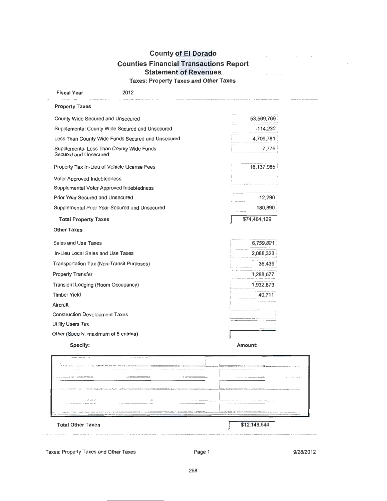## **County of El Dorado Counties Financial Transactions Report Statement of Revenues Taxes: Property Taxes and Other Taxes**

| Fiscal Year                               | 2012                                              |              |
|-------------------------------------------|---------------------------------------------------|--------------|
| <b>Property Taxes</b>                     |                                                   |              |
| County Wide Secured and Unsecured         |                                                   | 53,569,769   |
|                                           | Supplemental County Wide Secured and Unsecured    | $-114,230$   |
|                                           | Less Than County Wide Funds Secured and Unsecured | 4,709,781    |
| Secured and Unsecured                     | Supplemental Less Than County Wide Funds          | $-7,776$     |
|                                           | Property Tax In-Lieu of Vehicle License Fees      | 16,137,985   |
| Voter Approved Indebtedness               |                                                   |              |
|                                           | Supplemental Voter Approved Indebtedness          |              |
| Prior Year Secured and Unsecured          |                                                   | $-12,290$    |
|                                           | Supplemental Prior Year Secured and Unsecured     | 180,890      |
| <b>Total Property Taxes</b>               |                                                   | \$74,464,129 |
| <b>Other Taxes</b>                        |                                                   |              |
| Sales and Use Taxes                       |                                                   | 6,759,821    |
| In-Lieu Local Sales and Use Taxes         |                                                   | 2,088,323    |
| Transportation Tax (Non-Transit Purposes) |                                                   | 36,439       |
| <b>Property Transfer</b>                  |                                                   | 1,288,677    |
| Transient Lodging (Room Occupancy)        |                                                   | 1,932,673    |
| <b>Timber Yield</b>                       |                                                   | 40,711       |
| Aircraft                                  |                                                   |              |
| <b>Construction Development Taxes</b>     |                                                   |              |
| <b>Utility Users Tax</b>                  |                                                   |              |
| Other (Speciify, maximum of 5 enties)     |                                                   |              |
| Specify:                                  |                                                   | Amount:      |

| <b>Total Other Taxes</b>                                                                                                                                                                                                                                                                                                                                                                                             | \$12,14.6,644                                                                                                                                                                                                                                                                                                                                                                                                                                                                                                             |
|----------------------------------------------------------------------------------------------------------------------------------------------------------------------------------------------------------------------------------------------------------------------------------------------------------------------------------------------------------------------------------------------------------------------|---------------------------------------------------------------------------------------------------------------------------------------------------------------------------------------------------------------------------------------------------------------------------------------------------------------------------------------------------------------------------------------------------------------------------------------------------------------------------------------------------------------------------|
| the company of the company of the company of the company of the company of the company of the company of the company of the company of the company of the company of the company of the company of the company of the company<br>NEW RESIDENCE CONTRACTOR INTERNATIONAL PROPERTY                                                                                                                                     | The property of the state and company of the state and a second company of the control of the control of the control of the control of the control of the control of the control of the control of the control of the control<br>product your properties of the state second at the con-<br>The company of the company of the company of the company of the company of the company of the company of the company of the company of the company of the company of the company of the company of the company of the company |
| и с в реки с реки с возника с составляют можно местоприятия на совмести с простоянного составля                                                                                                                                                                                                                                                                                                                      | The same state and the statement property to the contract of the statement of the state of<br>THE RESIDENCE OF THE RESIDENCE OF THE RESIDENCE OF THE RESIDENCE OF THE RESIDENCE OF THE RESIDENCE OF THE RESIDENCE OF THE RESIDENCE OF THE RESIDENCE OF THE RESIDENCE OF THE RESIDENCE OF THE RESIDENCE OF THE RESIDENCE OF T                                                                                                                                                                                              |
| THE RESIDENCE OF COLOR CARD AND CARD AT A CHARGE AND A CHARGE CARD CARD AND THE COMMUNICATIONS OF THE RESIDENCE OF A RESIDENCE OF CARD AND CARD TO THE CARD OF THE CARD OF THE CARD OF THE CARD OF THE CARD OF THE CARD OF THE                                                                                                                                                                                       | www.communication.com/communication.com/communication.com/communication.com/communication.com/communication.com/<br>A 5-A 2007 TWO CATEGORY COLOR CONTINUES ON ASSAULT AN ACTION COMPANY AND ACCOUNT A COLOR CONTINUES ON A CONTINUES OF THE CONTINUES.                                                                                                                                                                                                                                                                   |
| THE SECOND CONTRACT OF A REPORT OF THE ANNUAL MUSIC CONTRACT OF THE CONTRACTOR CONTRACTOR CONTRACTOR AND ADDRESS OF THE CONTRACTOR CONTRACTOR CONTRACTOR CONTRACTOR CONTRACTOR CONTRACTOR<br>111 Il commenced to the component to the combine modulus ads. Il block, it increases a soil a coldation was well wanted to the commenced to the property increases increases a superior procedure as APP provisions and | --------------                                                                                                                                                                                                                                                                                                                                                                                                                                                                                                            |
| a statement of come of the<br>.<br>.                                                                                                                                                                                                                                                                                                                                                                                 | a second company of the tensor company and second company of the second company of<br>The commentation sense of playing and state sense of the commentation of                                                                                                                                                                                                                                                                                                                                                            |
|                                                                                                                                                                                                                                                                                                                                                                                                                      |                                                                                                                                                                                                                                                                                                                                                                                                                                                                                                                           |

Taxes: Property Taxes and Other Taxes

 $\sim$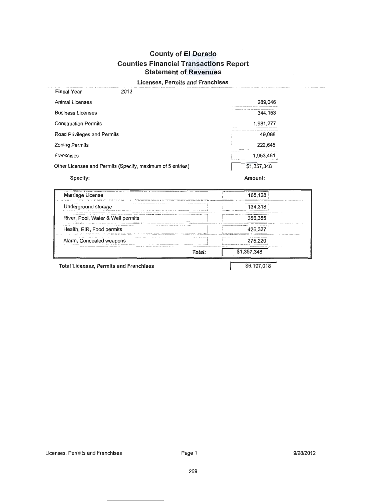### **Licenses, Permits and Franchises**

| <b>Fiscal Year</b>          | 2012                                                       |             |  |
|-----------------------------|------------------------------------------------------------|-------------|--|
| Animal Licenses             |                                                            | 289,046     |  |
| <b>Business Licenses</b>    |                                                            | 344,153     |  |
| <b>Construction Permits</b> |                                                            | 1,981,277   |  |
| Road Privileges and Permits |                                                            | 49,088      |  |
| <b>Zoning Permits</b>       |                                                            | 222,645     |  |
| Franchises                  |                                                            | 1.953.461   |  |
|                             | Other Licenses and Permits (Specify, maximum of 5 entries) | \$1,357,348 |  |
| Specify:                    |                                                            | Amount:     |  |

| Marriage License                                                                                                                                                            | 165.128                                                                                                                                                                                                                                                                               |
|-----------------------------------------------------------------------------------------------------------------------------------------------------------------------------|---------------------------------------------------------------------------------------------------------------------------------------------------------------------------------------------------------------------------------------------------------------------------------------|
| Underground storage                                                                                                                                                         | 134 318                                                                                                                                                                                                                                                                               |
| $\sim$ 5 $\mu$ and $\mu$ and $\mu$ and $\mu$ and $\mu$ and $\mu$ and $\mu$ and $\mu$ and $\mu$ and $\mu$ and $\mu$ and $\mu$<br>______<br>River, Pool, Water & Well permits | The A remainded when you can a court were a measurement of the<br>356.355                                                                                                                                                                                                             |
| Health, EIR, Food permits                                                                                                                                                   | <b>CONTINUES INTO A REPORT OF A REPORT OF A 44 YO F REPORT OF A 44 YO F REPORT OF A 44 YO F REPORT OF A 50 YO F REPORTED A 44 YO F REPORT OF A 44 YO F REPORT OF A 44 YO F REPORT OF A 44 YO F REPORT OF A 44 YO F REPORT OF A 4</b><br>of the first the second time a second company |
| <b>BREAK COMPANY</b><br>Alarm, Concealed weapons                                                                                                                            | The first between the construction of the problem<br>275.221                                                                                                                                                                                                                          |
| Total:                                                                                                                                                                      | \$1,357,348                                                                                                                                                                                                                                                                           |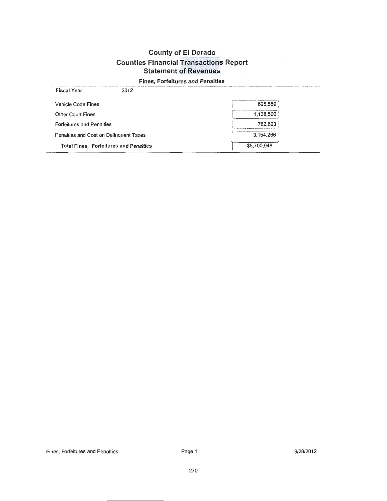## Fines, Forfeitures and Penalties

| 2012<br><b>Fiscal Year</b>                    |             |
|-----------------------------------------------|-------------|
| <b>Vehicle Code Fines</b>                     | 625,559     |
| <b>Other Court Fines</b>                      | 1,138,500   |
| <b>Forfeitures and Penalties</b>              | 782.623     |
| Penalties and Cost on Delinquent Taxes        | 3,154,266   |
| <b>Total Fines, Forfeitures and Penalties</b> | \$5,700,948 |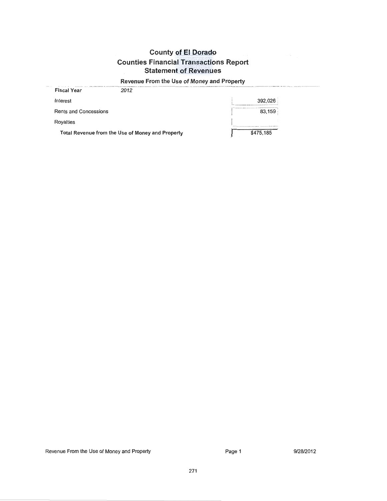# Revenue From the Use of Money and Property

| Rents and Concessions | 83,159 |
|-----------------------|--------|
| Royalties             |        |

Revenue From the Use of Money and Property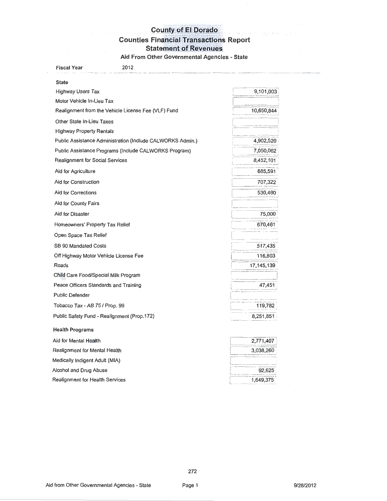# County of El Dorado

# **Counties Financial Transactions Report**

Statement of Revenues

Aid From Other Governmental Agencies - State

| <b>Fiscal Year</b><br>2012                                 |            |
|------------------------------------------------------------|------------|
| <b>State</b>                                               |            |
| <b>Highway Users Tax</b>                                   | 9,101,003  |
| Motor Vehicle In-Lieu Tax                                  |            |
| Realignment from the Vehicle License Fee (VLF) Fund        | 10,650,844 |
| Other State In-Lieu Taxes                                  |            |
| <b>Highway Property Rentals</b>                            |            |
| Public Assistance Administration (Include CALWORKS Admin.) | 4,902,520  |
| Public Assistance Programs (Include CALWORKS Program)      | 7,050,062  |
| <b>Realignment for Social Services</b>                     | 8,452,101  |
| Aid for Agriculture                                        | 685,591    |
| Aid for Construction                                       | 707,322    |
| Aid for Corrections                                        | 530,480    |
| Aid for County Fairs                                       |            |
| Aid for Disaster                                           | 75,000     |
| Homeowners' Property Tax Relief                            | 670,461    |
| Open Space Tax Relief                                      |            |
| SB 90 Mandated Costs                                       | 517,435    |
| Off Highway Motor Vehicle License Fee                      | 116,803    |
| Roads                                                      | 17,145,139 |
| Child Care Food/Special Milk Program                       |            |
| Peace Officers Standards and Training                      | 47,451     |
| <b>Public Defender</b>                                     |            |
| Tobacco Tax - AB 75 / Prop. 99                             | 119,782    |
| Public Safety Fund - Realignment (Prop.172)                | 8,251,851  |
| <b>Health Programs</b>                                     |            |
| Aid for Mental Health                                      | 2,771,407  |
| Realignment for Mental Health                              | 3,038,260  |
| Medically Indigent Adult (MIA)                             |            |
| Alcohol and Drug Abuse                                     | 92,625     |
| Realignment for Health Services                            | 1,649,375  |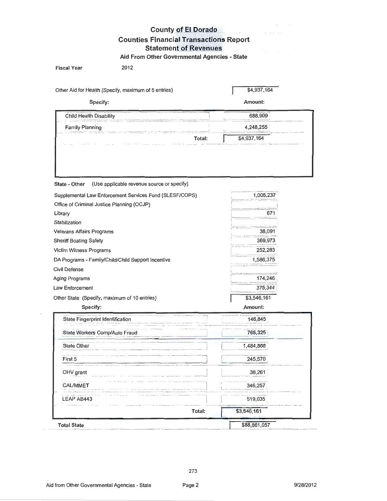#### **County of El Dorado**  $\mathcal{L}(\mathbf{r}^{\prime},\mathbf{r}^{\prime})$ **Counties Financial Transactions Report Statement of Revenues**

Aid From Other Governmental Agencies - State

| <b>Fiscal Year</b>                                   | 2012   |             |
|------------------------------------------------------|--------|-------------|
| Other Aid for Health (Specify, maximum of 5 entries) |        | \$4,937,164 |
| Specify:                                             |        | Amount:     |
| Child Health Disability                              |        | 688,909     |
| <b>Family Planning</b>                               |        | 4,248,255   |
|                                                      | Total: | \$4,937,164 |

| Supplemental Law Enforcement Services Fund (SLESF/COPS) | 1,005,237   |
|---------------------------------------------------------|-------------|
| Office of Criminal Justice Planning (OCJP)              |             |
| Library                                                 |             |
| Stabilization                                           |             |
| <b>Veterans Affairs Programs</b>                        | 38,091      |
| <b>Sheriff Boating Safety</b>                           | 369,973     |
| Victim Witness Programs                                 | 252,283     |
| DA Programs - Family/Child/Child Support Incentive      | 1,586,375   |
| Civil Defense                                           |             |
| Aging Programs                                          | 174,246     |
| Law Enforcement                                         | 375,344     |
| Other State (Specify, maximum of 10 entries)            | \$3,546,161 |
|                                                         |             |

| Specify:                         | Amount:               |
|----------------------------------|-----------------------|
| State Fingerprint Identification | 146,845               |
| State Workers Comp/Auto Fraud    | 765,325               |
| <b>State Other</b>               | 1,484,868             |
| First 5                          | 245,570               |
| OHV grant                        | 38,261                |
| <b>CAL/MMET</b>                  | 346,257               |
| LEAP AB443                       | 519,035               |
|                                  | \$3,546,161<br>Total: |
| <b>Total State</b>               | \$88,861,057          |

 $\overline{\phantom{a}}$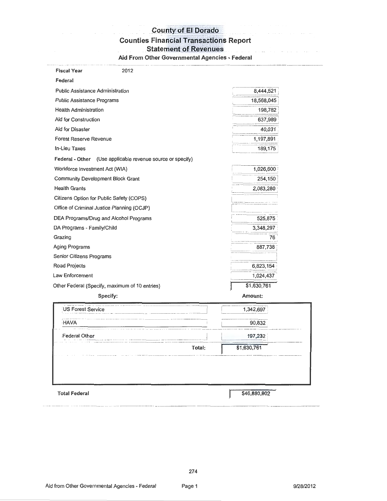# Lounty of El Dorado<br>Counties Financial Transactions Report

Statement of Revenues<br>
Statement of Revenues

Aid From Other Governmental Agencies - Federal

| <b>Fiscal Year</b><br>2012                                 |             |
|------------------------------------------------------------|-------------|
| Federal                                                    |             |
| <b>Public Assistance Administration</b>                    | 8,444,521   |
| <b>Public Assistance Programs</b>                          | 18,568,045  |
| <b>Health Administration</b>                               | 198,782     |
| Aid for Construction                                       | 637,989     |
| Aid for Disaster                                           | 40,031      |
| <b>Forest Reserve Revenue</b>                              | 1,197,891   |
| In-Lieu Taxes                                              | 189,175     |
| Federal - Other (Use applicable revenue source or specify) |             |
| Workforce Investment Act (WIA)                             | 1,026,600   |
| <b>Community Development Block Grant</b>                   | 254,150     |
| <b>Health Grants</b>                                       | 2,083,280   |
| Citizens Option for Public Safety (COPS)                   |             |
| Office of Criminal Justice Planning (OCJP)                 |             |
| DEA Programs/Drug and Alcohol Programs                     | 525,875     |
| DA Programs - Family/Child                                 | 3,348,297   |
| Grazing                                                    | 76          |
| Aging Programs                                             | 887,738     |
| Senior Citizens Programs                                   |             |
| Road Projects                                              | 6,823,154   |
| Law Enforcement                                            | 1,024,437   |
| Other Federal (Specify, maximum of 10 entries)             | \$1,630,761 |
| Specify:                                                   | Amount:     |
| US Forest Service                                          | 1,342,697   |
| <b>HAVA</b>                                                | 90,832      |
| Federal Olher                                              | 197,232     |
|                                                            | \$1,630,761 |

Total Federal

r--·- \$46.880.802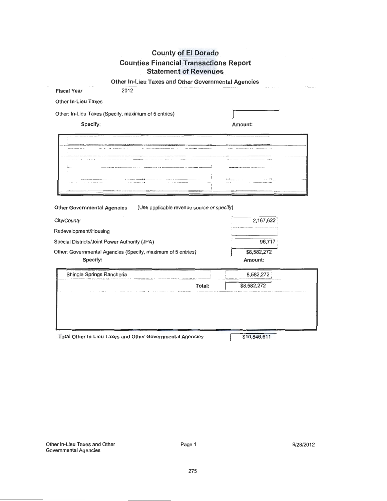| Other In-Lieu Taxes and Other Governmental Agencies |  |
|-----------------------------------------------------|--|
|-----------------------------------------------------|--|

| <b>Fiscal Year</b><br>2012                                                       |             |
|----------------------------------------------------------------------------------|-------------|
| <b>Other In-Lieu Taxes</b>                                                       |             |
| Other: In-Lieu Taxes (Specify, maximum of 5 entries)                             |             |
| Specify:                                                                         | Amount:     |
|                                                                                  |             |
|                                                                                  |             |
|                                                                                  |             |
|                                                                                  |             |
|                                                                                  |             |
|                                                                                  |             |
|                                                                                  |             |
| <b>Other Governmental Agencies</b><br>(Use applicable revenue source or specify) |             |
|                                                                                  |             |
| City/County                                                                      | 2,167,622   |
| Redevelopment/Housing                                                            |             |
| Special Districts/Joint Power Authority (JPA)                                    | 96,717      |
| Other: Governmental Agencies (Specify, maximum of 5 entries)                     | \$8,582,272 |
| Specify:                                                                         | Amount:     |
| Shingle Springs Rancheria                                                        | 8,582,272   |
| Total:                                                                           | \$8,582,272 |
|                                                                                  |             |
|                                                                                  |             |
|                                                                                  |             |
|                                                                                  |             |

Total Other In-Lieu Taxes and Other Governmental Agencies

\$10,846,611

I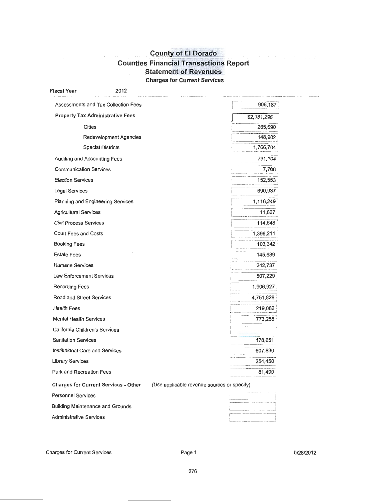# **County of El Dorado Counties Financial Transactions Report Statement of Revenues** Charges for Current Services

| <b>Fiscal Year</b>                      | 2012                                        |                                             |             |
|-----------------------------------------|---------------------------------------------|---------------------------------------------|-------------|
|                                         | Assessments and Tax Collection Fees         |                                             | 906,187     |
|                                         | <b>Property Tax Administrative Fees</b>     |                                             | \$2,181,296 |
| <b>Cities</b>                           |                                             |                                             | 265,690     |
|                                         | Redevelopment Agencies                      |                                             | 148,902     |
|                                         | <b>Special Districts</b>                    |                                             | 1,766,704   |
| Auditing and Accounting Fees            |                                             |                                             | 731,104     |
| <b>Communication Services</b>           |                                             |                                             | 7,766       |
| <b>Election Services</b>                |                                             |                                             | 152,553     |
| Legal Services                          |                                             |                                             | 690,937     |
|                                         | Planning and Engineering Services           |                                             | 1,116,249   |
| <b>Agricultural Services</b>            |                                             |                                             | 11,827      |
| <b>Civil Process Services</b>           |                                             |                                             | 114,648     |
| Court Fees and Costs                    |                                             |                                             | 1,396,211   |
| <b>Booking Fees</b>                     |                                             |                                             | 103,342     |
| <b>Estate Fees</b>                      |                                             |                                             | 145,689     |
| <b>Humane Services</b>                  |                                             |                                             | 242,737     |
| Law Enforcement Services                |                                             |                                             | 507,229     |
| <b>Recording Fees</b>                   |                                             |                                             | 1,906,927   |
| Road and Street Services                |                                             |                                             | 4,751,828   |
| <b>Health Fees</b>                      |                                             |                                             | 219,082     |
| <b>Mental Health Services</b>           |                                             |                                             | 773,255     |
| California Children's Services          |                                             |                                             |             |
| <b>Sanitation Services</b>              |                                             |                                             | 178,651     |
| Institutional Care and Services         |                                             |                                             | 607,830     |
| Library Services                        |                                             |                                             | 254,450     |
| Park and Recreation Fees                |                                             |                                             | 81,490      |
|                                         | <b>Charges for Current Services - Other</b> | (Use applicable revenue sources or specify) |             |
| <b>Personnel Services</b>               |                                             |                                             |             |
| <b>Building Maintenance and Grounds</b> |                                             |                                             |             |

Administrative Services

Charges for Current Services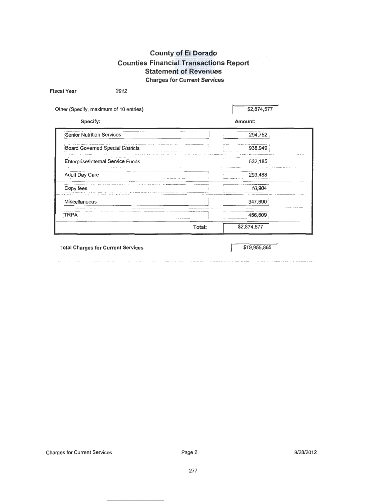## **County of El Dorado** Counties Financial Transactions Report **Statement of Revenues** Charges for Current Services

Other (Specify, maximum of 10 entries) \$2,874,577 Specify: Amount: **Example 294,752** Senior Nutrition Services 294,752 Board Governed Special Districts 938,949 I - - Enterprise/Internal Service Funds **Interprise** 1 532,185  $\sim$   $-$  -  $\sim$   $\sim$   $\sim$   $\sim$   $\sim$ Adult Day Care 293,488 **Copy fees** 10,904 **I Miscellaneous** 347,690 TRPA 456,609 Total:  $\sqrt{32,874,577}$ 

Total Charges for Current Services  $$19,955,865$ 

Fiscal Year 2012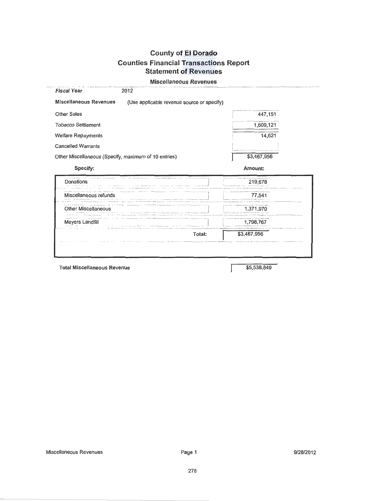Miscellaneous Revenues Fiscal Year 2012 Miscellaneous Revenues (Use applicable revenue source or specify) Other Sales 447,151 Tobacco Settlement 1,609,121 Welfare Repayments 14,621 Cancelled Warrants Other Miscellaneous (Specify, maximum of 10 entries) \$3,467,956 Specify: Amount: 219,678 Donations c= 77,541 Miscellaneous refunds other Miscellaneous **and the set of the Miscellaneous contact the miscellaneous contact the set of the set of the set of the set of the set of the set of the set of the set of the set of the set of the set of the set o** Meyers Landfill 1,798,767 Total: \$3,467,956 Total Miscellaneous Revenue **\$5,538,849**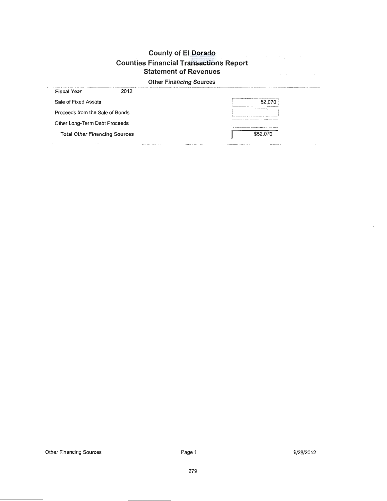## **Other Financing Sources**

| <b>Fiscal Year</b>                   | 2012 |                                                                                 |
|--------------------------------------|------|---------------------------------------------------------------------------------|
| Sale of Fixed Assets                 |      | ____________                                                                    |
| Proceeds from the Sale of Bonds      |      | At we will enjoy to the control of the season and company to the control of the |
| Other Long-Term Debt Proceeds        |      | ______________                                                                  |
| <b>Total Other Financing Sources</b> |      | \$52,070                                                                        |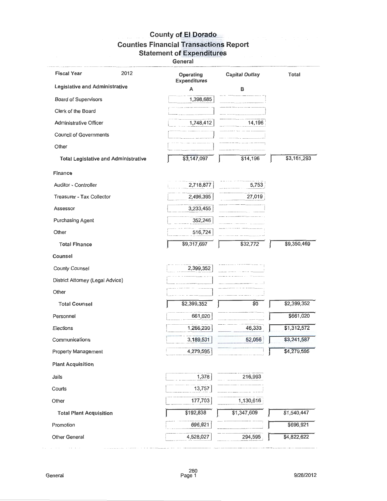General

| <b>Fiscal Year</b><br>2012                  | Operating<br><b>Expenditures</b> | <b>Capital Outlay</b> | Total       |
|---------------------------------------------|----------------------------------|-----------------------|-------------|
| Legislative and Administrative              | A                                | в                     |             |
| Board of Supervisors                        | 1,398,685                        |                       |             |
| Clerk of the Board                          |                                  |                       |             |
| <b>Administrative Officer</b>               | 1,748,412                        | 14,196                |             |
| <b>Council of Governments</b>               |                                  |                       |             |
| Other                                       |                                  |                       |             |
| <b>Total Legislative and Administrative</b> | \$3,147,097                      | \$14,196              | \$3,161,293 |
| Finance                                     |                                  |                       |             |
| Auditor - Controller                        | 2,718,877                        | 5,753                 |             |
| Treasurer - Tax Collector                   | 2,496,395                        | 27,019                |             |
| Assessor                                    | 3,233,455                        |                       |             |
| <b>Purchasing Agent</b>                     | 352,246                          |                       |             |
| Other                                       | 516,724                          |                       |             |
| <b>Total Finance</b>                        | \$9,317,697                      | \$32,772              | \$9,350,469 |
| Counsel                                     |                                  |                       |             |
| <b>County Counsel</b>                       | 2,399,352                        |                       |             |
| District Attorney (Legal Advice)            |                                  |                       |             |
| Other                                       |                                  |                       |             |
| <b>Total Counsel</b>                        | \$2,399,352                      | \$0                   | \$2,399,352 |
| Personnel                                   | 661,020                          |                       | \$661,020   |
| Elections                                   | 1,266,239                        | 45,333                | \$1,312,572 |
| Communications                              | 3,189,531                        | 52,056                | \$3,241,587 |
| <b>Property Management</b>                  | 4,279,595                        |                       | \$4,270,505 |
| <b>Plant Acquisition</b>                    |                                  |                       |             |
| Jails                                       | 1,378                            | 216,993               |             |
| Courts                                      | 13,757                           |                       |             |
| Other                                       | 177,703                          | 1,130,616             |             |
| <b>Total Plant Acquisition</b>              | \$192,838                        | \$1,347,609           | \$1,540,447 |
| Promotion                                   | 696,921                          |                       | \$696,921   |
| Other General                               | 4,528,027                        | 294,595               | \$4,822,622 |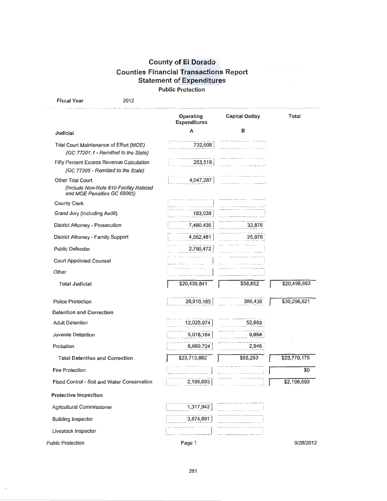# ounty of El Dorado **Counties Financial Transactions Report** Statement of Expenditures Public Protection

| <b>Fiscal Year</b>                               | 2012                                        |                                  |                       |              |
|--------------------------------------------------|---------------------------------------------|----------------------------------|-----------------------|--------------|
|                                                  |                                             | Operating<br><b>Expenditures</b> | <b>Capital Outlay</b> | <b>Total</b> |
| Judicial                                         |                                             | A                                | в                     |              |
| Trial Court Maintenance of Effort (MOE)          | (GC 77201.1 - Remitted to the State)        | 732,608                          |                       |              |
| Fifty Percent Excess Revenue Calculation         | (GC 77205 - Remitted to the State)          | 253,519                          |                       |              |
| Other Trial Court<br>and MOE Penalties GC 68065) | (Include Non-Rule 810-Facility Related      | 4,047,287                        |                       |              |
| <b>County Clerk</b>                              |                                             |                                  |                       |              |
| Grand Jury (Including Audit)                     |                                             | 183,039                          |                       |              |
| District Attorney - Prosecution                  |                                             | 7,480,435                        | 32,876                |              |
| District Attorney - Family Support               |                                             | 4,952,481                        | 25,976                |              |
| <b>Public Defender</b>                           |                                             | 2,790,472                        |                       |              |
| <b>Court Appointed Counsel</b>                   |                                             |                                  |                       |              |
| Other                                            |                                             |                                  |                       |              |
| <b>Total Judicial</b>                            |                                             | \$20,439,841                     | \$58,852              | \$20,498,693 |
| <b>Police Protection</b>                         |                                             | 29,910,185                       | 386,436               | \$30,296,621 |
| <b>Detention and Correction</b>                  |                                             |                                  |                       |              |
| <b>Adult Detention</b>                           |                                             | 12,025,974                       | 52,689                |              |
| Juvenile Detention                               |                                             | 5,018,184                        | 5,658                 |              |
| Probation                                        |                                             | 6,669,724                        | 2,946                 |              |
| <b>Total Detention and Correction</b>            |                                             | \$23,713,882                     | \$65,293              | \$22,779,175 |
| <b>Fire Protection</b>                           |                                             |                                  |                       | \$0          |
|                                                  | Flood Control - Soil and Water Conservation | 2,198,693                        |                       | \$2,198,693  |
| <b>Protective Inspection</b>                     |                                             |                                  |                       |              |
| Agricultural Commissioner                        |                                             | 1,317,942                        |                       |              |
| <b>Building Inspector</b>                        |                                             | 3,874,891                        |                       |              |
| Livestock Inspector                              |                                             |                                  |                       |              |
| <b>Public Protection</b>                         |                                             | Page 1                           |                       | 9/28/2012    |

 $\bar{z}$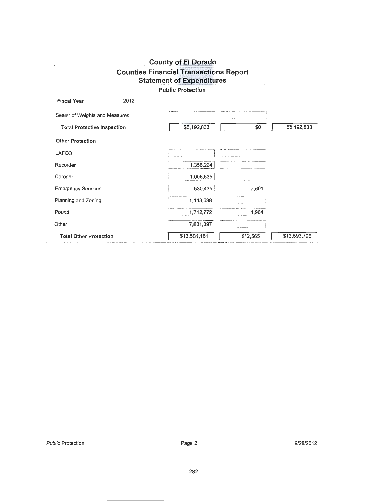| <b>Fiscal Year</b>                 | 2012 |              |          |              |
|------------------------------------|------|--------------|----------|--------------|
| Sealer of Weights and Measures     |      |              |          |              |
| <b>Total Protective Inspection</b> |      | \$5,192,833  | \$0      | \$5,192,833  |
| <b>Other Protection</b>            |      |              |          |              |
| LAFCO                              |      |              |          |              |
| Recorder                           |      | 1,356,224    |          |              |
| Coroner                            |      | 1,006,635    |          |              |
| <b>Emergency Services</b>          |      | 530,435      | 7,601    |              |
| Planning and Zoning                |      | 1,143,698    |          |              |
| Pound                              |      | 1,712,772    | 4,964    |              |
| Other                              |      | 7,831,397    |          |              |
| <b>Total Other Protection</b>      |      | \$13,581,161 | \$12,565 | \$13,593,726 |

 $\sim$   $\star$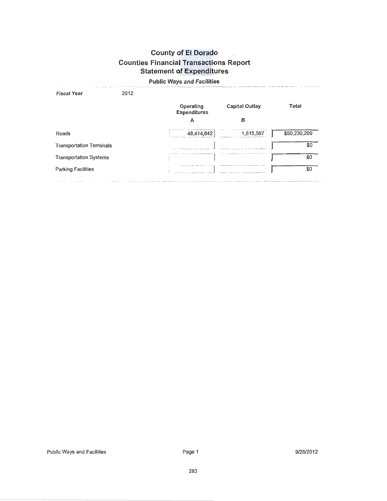#### Public Ways and Facilities

| 2012                            |                                  |                       |              |
|---------------------------------|----------------------------------|-----------------------|--------------|
|                                 | Operating<br><b>Expenditures</b> | <b>Capital Outlay</b> | Total        |
|                                 | А                                | в                     |              |
|                                 | 48,414,642                       | 1,815,567             | \$50,230,209 |
| <b>Transportation Terminals</b> |                                  |                       | \$0          |
| <b>Transportation Systems</b>   |                                  |                       | \$0          |
|                                 |                                  |                       | \$0          |
|                                 |                                  |                       |              |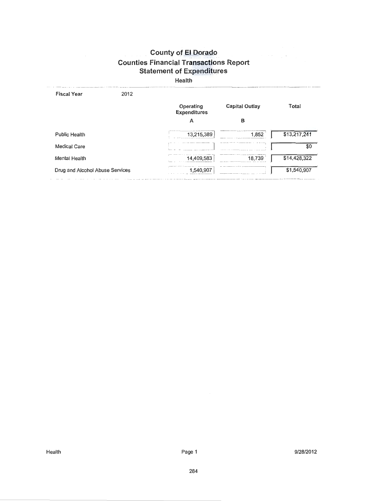$\label{eq:2.1} \left\langle \left\langle \hat{r} \right\rangle \right\rangle = \left\langle \hat{r} \right\rangle \hat{m} = \left\langle \left\langle \hat{r} \right\rangle \right\rangle \hat{r}$ 

Health

| 2012<br><b>Fiscal Year</b>      |                                  |                       |              |
|---------------------------------|----------------------------------|-----------------------|--------------|
|                                 | Operating<br><b>Expenditures</b> | <b>Capital Outlay</b> | Total        |
|                                 | А                                | в                     |              |
| <b>Public Health</b>            | 13,215,389                       | 1,852                 | \$13,217,241 |
| <b>Medical Care</b>             |                                  |                       | \$0          |
| <b>Mental Health</b>            | 14,409,583                       | 18.739                | \$14,428,322 |
| Drug and Alcohol Abuse Services | 1.540.907                        |                       | \$1,540,907  |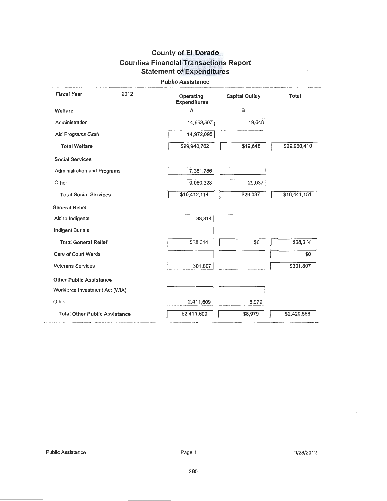$\ddot{\phantom{a}}$ 

 $\mathcal{L}(\mathbf{x})$  ,  $\mathcal{L}(\mathbf{x})$  ,

| <b>Public Assistance</b>             |      |                                  |                       |              |
|--------------------------------------|------|----------------------------------|-----------------------|--------------|
| <b>Fiscal Year</b>                   | 2012 | Operating<br><b>Expenditures</b> | <b>Capital Outlay</b> | Total        |
| Welfare                              |      | A                                | в                     |              |
| Administration                       |      | 14,968,667                       | 19,648                |              |
| Aid Programs Cash                    |      | 14,972,095                       |                       |              |
| <b>Total Welfare</b>                 |      | \$29,940,762                     | \$19,648              | \$29,960,410 |
| <b>Social Services</b>               |      |                                  |                       |              |
| Administration and Programs          |      | 7,351,786                        |                       |              |
| Other                                |      | 9,060,328                        | 29,037                |              |
| <b>Total Social Services</b>         |      | \$16,412,114                     | \$29,037              | \$16,441,151 |
| <b>General Relief</b>                |      |                                  |                       |              |
| Aid to Indigents                     |      | 38,314                           |                       |              |
| <b>Indigent Burials</b>              |      |                                  |                       |              |
| <b>Total General Relief</b>          |      | \$38,314                         | \$0                   | \$38,314     |
| Care of Court Wards                  |      |                                  |                       | \$0          |
| <b>Veterans Services</b>             |      | 301,807                          |                       | \$301,807    |
| <b>Other Public Assistance</b>       |      |                                  |                       |              |
| Workforce Investment Act (WIA)       |      |                                  |                       |              |
| Other                                |      | 2,411,609                        | 8,979                 |              |
| <b>Total Other Public Assistance</b> |      | \$2,411,609                      | \$8,979               | \$2,420,588  |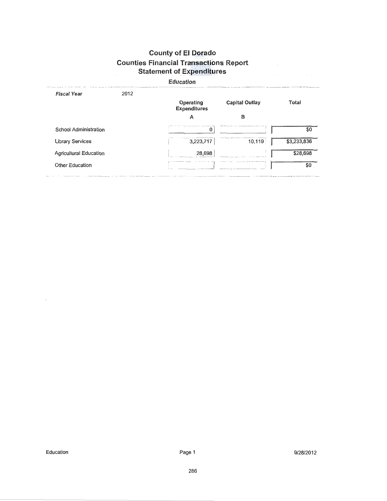#### **Education**

| <b>Fiscal Year</b>            | 2012 |                                  |                |              |
|-------------------------------|------|----------------------------------|----------------|--------------|
|                               |      | Operating<br><b>Expenditures</b> | Capital Outlay | <b>Total</b> |
|                               |      | А                                | в              |              |
| <b>School Administration</b>  |      | 0                                |                | \$0          |
| <b>Library Services</b>       |      | 3,223,717                        | 10,119         | \$3,233,836  |
| <b>Agricultural Education</b> |      | 28,698                           |                | \$28,698     |
| <b>Other Education</b>        |      |                                  |                | \$0          |
|                               |      |                                  |                |              |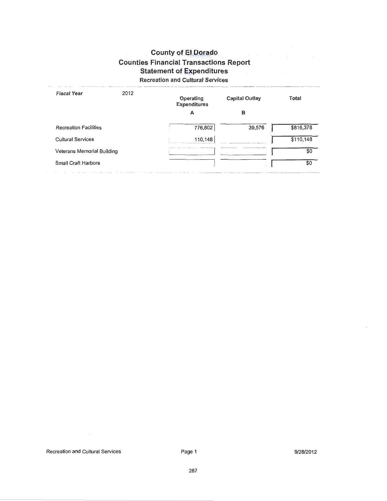# Recreation and Cultural Services

| <b>Fiscal Year</b>           | 2012 | Operating<br><b>Expenditures</b> | <b>Capital Outlay</b>               | Total     |
|------------------------------|------|----------------------------------|-------------------------------------|-----------|
|                              |      | А                                | в                                   |           |
| <b>Recreation Facilities</b> |      | 776,802                          | 39,576                              | \$816,378 |
| <b>Cultural Services</b>     |      | 110,148                          |                                     | \$110,148 |
| Veterans Memorial Building   |      |                                  | THE R. P. LEWIS CO., LANSING, MICH. | \$0       |
| <b>Small Craft Harbors</b>   |      |                                  |                                     | \$0       |
|                              |      |                                  |                                     |           |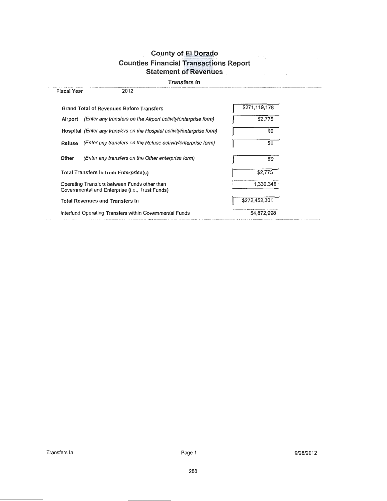#### Transfers In

| <b>Fiscal Year</b>                     | 2012                                                                                            |               |
|----------------------------------------|-------------------------------------------------------------------------------------------------|---------------|
|                                        | <b>Grand Total of Revenues Before Transfers</b>                                                 | \$271,119,178 |
| Airport                                | (Enter any transfers on the Airport activity/enterprise form)                                   | \$2,775       |
|                                        | Hospital (Enter any transfers on the Hospital activity/enterprise form)                         | \$0           |
| Refuse                                 | (Enter any transfers on the Refuse activity/enterprise form)                                    | \$0           |
| Other                                  | (Enter any transfers on the Other enterprise form)                                              | \$0           |
|                                        | <b>Total Transfers In from Enterprise(s)</b>                                                    | \$2,775       |
|                                        | Operating Transfers between Funds other than<br>Governmental and Enterprise (i.e., Trust Funds) | 1,330,348     |
| <b>Total Revenues and Transfers In</b> |                                                                                                 | \$272,452,301 |
|                                        | Interfund Operating Transfers within Governmental Funds                                         | 54,872.998    |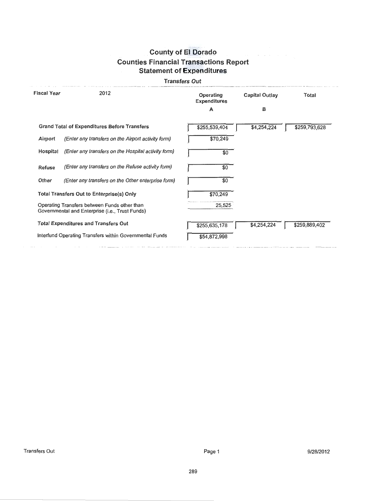#### Transfers Out

| <b>Fiscal Year</b> | 2012                                                                                            | Operating<br><b>Expenditures</b><br>A | Capital Outlay<br>в | Total         |
|--------------------|-------------------------------------------------------------------------------------------------|---------------------------------------|---------------------|---------------|
|                    | <b>Grand Total of Expenditures Before Transfers</b>                                             | \$255,539,404                         | \$4,254,224         | \$259,793,628 |
| Airport            | (Enter any transfers on the Airport activity form)                                              | \$70,249                              |                     |               |
| Hospital           | (Enter any transfers on the Hospital activity form)                                             | \$0                                   |                     |               |
| Refuse             | (Enter any transfers on the Refuse activity form)                                               | \$0                                   |                     |               |
| Other              | (Enter any transfers on the Other enterprise form)                                              | \$0                                   |                     |               |
|                    | Total Transfers Out to Enterprise(s) Only                                                       | \$70,249                              |                     |               |
|                    | Operating Transfers between Funds other than<br>Governmental and Enterprise (i.e., Trust Funds) | 25,525                                |                     |               |
|                    | <b>Total Expenditures and Transfers Out</b>                                                     | \$255,635,178                         | \$4,254,224         | \$259,889,402 |
|                    | Interfund Operating Transfers within Governmental Funds                                         | \$54,872,998                          |                     |               |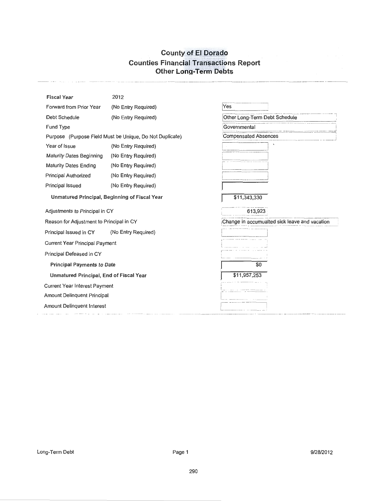# **County of El Dorado Counties Financial Transactions Report Other Long-Term Debts**

 $\sim$ 

| <b>Fiscal Year</b>                            | 2012                                                     |                                               |  |
|-----------------------------------------------|----------------------------------------------------------|-----------------------------------------------|--|
| Forward from Prior Year                       | (No Entry Required)                                      | Yes                                           |  |
| Debt Schedule                                 | (No Entry Required)                                      | Other Long-Term Debt Schedule                 |  |
| Fund Type                                     |                                                          | Governmental                                  |  |
|                                               | Purpose (Purpose Field Must be Unique, Do Not Duplicate) | <b>Compensated Absences</b>                   |  |
| Year of Issue                                 | (No Entry Required)                                      |                                               |  |
| <b>Maturity Dates Beginning</b>               | (No Entry Required)                                      |                                               |  |
| <b>Maturity Dates Ending</b>                  | (No Entry Required)                                      |                                               |  |
| Principal Authorized                          | (No Entry Required)                                      |                                               |  |
| Principal Issued                              | (No Entry Required)                                      |                                               |  |
| Unmatured Principal, Beginning of Fiscal Year |                                                          | \$11,343,330                                  |  |
| Adjustments to Principal in CY                |                                                          | 613,923                                       |  |
| Reason for Adjustment to Principal in CY      |                                                          | Change in accumualted sick leave and vacation |  |
| Principal Issued in CY                        | (No Entry Required)                                      |                                               |  |
| Current Year Principal Payment                |                                                          |                                               |  |
| Principal Defeased in CY                      |                                                          |                                               |  |
| <b>Principal Payments to Date</b>             |                                                          | \$0                                           |  |
| Unmatured Principal, End of Fiscal Year       |                                                          | \$11,957,253                                  |  |
| Current Year Interest Payment                 |                                                          |                                               |  |
| <b>Amount Delinquent Principal</b>            |                                                          |                                               |  |
| Amount Delinquent Interest                    |                                                          |                                               |  |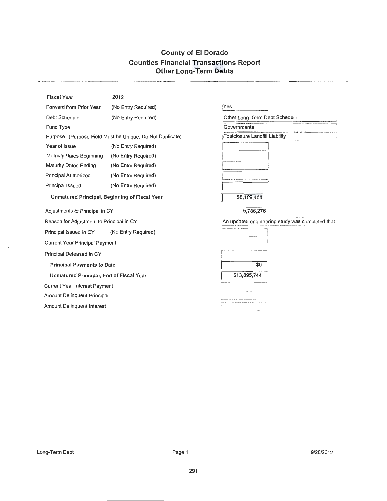# County of El Dorado Counties Financial Transactions Report Other Long-Term Debts

| <b>Fiscal Year</b>                            | 2012                                                     |                                                 |
|-----------------------------------------------|----------------------------------------------------------|-------------------------------------------------|
| Forward from Prior Year                       | (No Entry Required)                                      | Yes                                             |
| Debt Schedule                                 | (No Entry Required)                                      | Other Long-Term Debt Schedule                   |
| Fund Type                                     |                                                          | Governmental                                    |
|                                               | Purpose (Purpose Field Must be Unique, Do Not Duplicate) | Postclosure Landfill Liability                  |
| Year of Issue                                 | (No Entry Required)                                      |                                                 |
| <b>Maturity Dates Beginning</b>               | (No Entry Required)                                      |                                                 |
| <b>Maturity Dates Ending</b>                  | (No Entry Required)                                      |                                                 |
| <b>Principal Authorized</b>                   | (No Entry Required)                                      |                                                 |
| Principal Issued                              | (No Entry Required)                                      |                                                 |
| Unmatured Principal, Beginning of Fiscal Year |                                                          | \$8,109,468                                     |
| Adjustments to Principal in CY                |                                                          | 5,786,276                                       |
| Reason for Adjustment to Principal in CY      |                                                          | An updated engineering study was completed that |
| Principal Issued in CY                        | (No Entry Required)                                      |                                                 |
| Current Year Principal Payment                |                                                          |                                                 |
| Principal Defeased in CY                      |                                                          |                                                 |
| <b>Principal Payments to Date</b>             |                                                          | \$0                                             |
| Unmatured Principal, End of Fiscal Year       |                                                          | \$13,895,744                                    |
| <b>Current Year Interest Payment</b>          |                                                          |                                                 |
| Amount Delinquent Principal                   |                                                          |                                                 |
| Amount Delinquent Interest                    |                                                          |                                                 |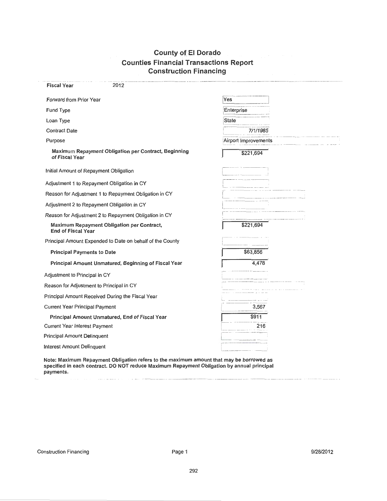## **County of El Dorado** Counties Financial Transactions Report Construction Financing

| <b>Fiscal Year</b><br>2012                                              |                               |
|-------------------------------------------------------------------------|-------------------------------|
| Forward from Prior Year                                                 | Yes                           |
| Fund Type                                                               | Enterprise                    |
| Loan Type                                                               | State                         |
| <b>Contract Date</b>                                                    | 7/1/1985                      |
| Purpose                                                                 | Airport Improvements          |
| Maximum Repayment Obligation per Contract, Beginning<br>of Fiscal Year  | \$221,694                     |
| Initial Amount of Repayment Obligation                                  |                               |
| Adjustment 1 to Repayment Obligation in CY                              |                               |
| Reason for Adjustment 1 to Repayment Obligation in CY                   |                               |
| Adjustment 2 to Repayment Obligation in CY                              |                               |
| Reason for Adjustment 2 to Repayment Obligation in CY                   |                               |
| Maximum Repayment Obligation per Contract,<br><b>End of Fiscal Year</b> | \$221,694                     |
| Principal Amount Expended to Date on behalf of the County               |                               |
| <b>Principal Payments to Date</b>                                       | \$63,856                      |
| Principal Amount Unmatured, Beginning of Fiscal Year                    | 4,478                         |
| Adjustment to Principal in CY                                           |                               |
| Reason for Adjustment to Principal in CY                                |                               |
| Principal Amount Received During the Fiscal Year                        |                               |
| <b>Current Year Principal Payment</b>                                   | 3,567                         |
| Principal Amount Unmatured, End of Fiscal Year                          | \$911                         |
| <b>Current Year Interest Payment</b>                                    | 216                           |
| Principal Amount Delinquent                                             |                               |
| Interest Amount Delinquent                                              | the control of the control of |

Note: Maximum Repayment Obligation refers to the maximum amount that may be borrowed as specified in each contract. DO NOT reduce Maximum Repayment Obligation by annual principal payments.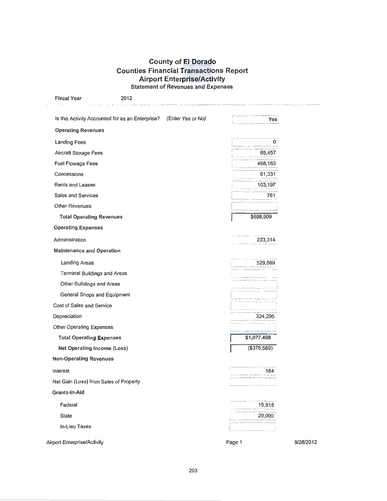# **County of El Dorado Counties Financial Transactions Report** Air Port Enterprise/Activity<br>Statement of Revenues and Expenses

| <b>Fiscal Year</b>                     | 2012                                                               |                |           |
|----------------------------------------|--------------------------------------------------------------------|----------------|-----------|
|                                        | Is this Activity Accounted for as an Enterprise? (Enter Yes or No) | Yes            |           |
| <b>Operating Revenues</b>              |                                                                    |                |           |
| <b>Landing Fees</b>                    |                                                                    | 0              |           |
| Aircraft Storage Fees                  |                                                                    | 65,457         |           |
| <b>Fuel Flowage Fees</b>               |                                                                    | 468,163        |           |
| Concessions                            |                                                                    | 61,331         |           |
| <b>Rents and Leases</b>                |                                                                    | 103,197        |           |
| <b>Sales and Services</b>              |                                                                    | 761            |           |
| Other Revenues                         |                                                                    |                |           |
| <b>Total Operating Revenues</b>        |                                                                    | \$698,909      |           |
| <b>Operating Expenses</b>              |                                                                    |                |           |
| Administration                         |                                                                    | 223,314        |           |
| <b>Maintenance and Operation</b>       |                                                                    |                |           |
| <b>Landing Areas</b>                   |                                                                    | 529,889        |           |
| <b>Terminal Buildings and Areas</b>    |                                                                    |                |           |
| Other Buildings and Areas              |                                                                    |                |           |
| General Shops and Equipment            |                                                                    |                |           |
| Cost of Sales and Service              |                                                                    |                |           |
| Depreciation                           |                                                                    | 324,295        |           |
| Other Operating Expenses               |                                                                    |                |           |
| <b>Total Operating Expenses</b>        |                                                                    | \$1,077,498    |           |
| Net Operating Income (Loss)            |                                                                    | $($ \$378,589) |           |
| <b>Non-Operating Revenues</b>          |                                                                    |                |           |
| Interest                               |                                                                    | 184            |           |
| Net Gain (Loss) from Sales of Property |                                                                    |                |           |
| Grants-In-Aid                          |                                                                    |                |           |
| Federal                                |                                                                    | 15,918         |           |
| <b>State</b>                           |                                                                    | 20,000         |           |
| In-Lieu Taxes                          |                                                                    |                |           |
| <b>Airport Enterprise/Activity</b>     |                                                                    | Page 1         | 9/28/2012 |